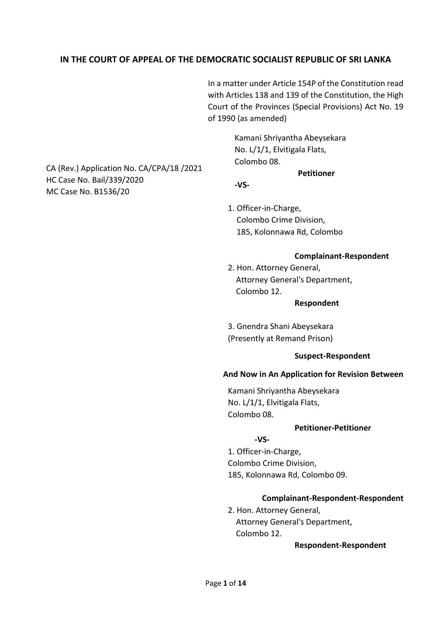# **IN THE COURT OF APPEAL OF THE DEMOCRATIC SOCIALIST REPUBLIC OF SRI LANKA**

In a matter under Article 154P of the Constitution read with Articles 138 and 139 of the Constitution, the High Court of the Provinces (Special Provisions) Act No. 19 of 1990 (as amended)

> Kamani Shriyantha Abeysekara No. L/1/1, Elvitigala Flats, Colombo 08.

> > **Petitioner**

**-VS-**

1. Officer-in-Charge, Colombo Crime Division, 185, Kolonnawa Rd, Colombo

## **Complainant-Respondent**

2. Hon. Attorney General, Attorney General's Department, Colombo 12.

#### **Respondent**

3. Gnendra Shani Abeysekara (Presently at Remand Prison)

### **Suspect-Respondent**

## **And Now in An Application for Revision Between**

Kamani Shriyantha Abeysekara No. L/1/1, Elvitigala Flats, Colombo 08.

## **Petitioner-Petitioner**

## **-VS-**

1. Officer-in-Charge, Colombo Crime Division, 185, Kolonnawa Rd, Colombo 09.

## **Complainant-Respondent-Respondent**

2. Hon. Attorney General, Attorney General's Department, Colombo 12.

### **Respondent-Respondent**

CA (Rev.) Application No. CA/CPA/18 /2021 HC Case No. Bail/339/2020 MC Case No. B1536/20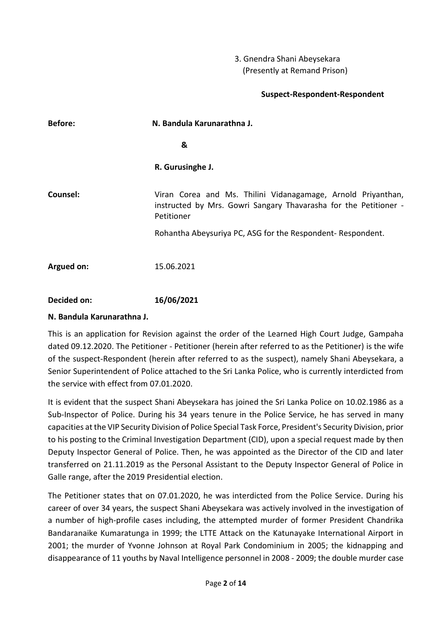# 3. Gnendra Shani Abeysekara (Presently at Remand Prison)

# **Suspect-Respondent-Respondent**

| <b>Before:</b> | N. Bandula Karunarathna J.                                                                                                                     |
|----------------|------------------------------------------------------------------------------------------------------------------------------------------------|
|                | &                                                                                                                                              |
|                | R. Gurusinghe J.                                                                                                                               |
| Counsel:       | Viran Corea and Ms. Thilini Vidanagamage, Arnold Priyanthan,<br>instructed by Mrs. Gowri Sangary Thavarasha for the Petitioner -<br>Petitioner |
|                | Rohantha Abeysuriya PC, ASG for the Respondent- Respondent.                                                                                    |
| Argued on:     | 15.06.2021                                                                                                                                     |
|                |                                                                                                                                                |

**Decided on: 16/06/2021**

# **N. Bandula Karunarathna J.**

This is an application for Revision against the order of the Learned High Court Judge, Gampaha dated 09.12.2020. The Petitioner - Petitioner (herein after referred to as the Petitioner) is the wife of the suspect-Respondent (herein after referred to as the suspect), namely Shani Abeysekara, a Senior Superintendent of Police attached to the Sri Lanka Police, who is currently interdicted from the service with effect from 07.01.2020.

It is evident that the suspect Shani Abeysekara has joined the Sri Lanka Police on 10.02.1986 as a Sub-Inspector of Police. During his 34 years tenure in the Police Service, he has served in many capacities at the VIP Security Division of Police Special Task Force, President's Security Division, prior to his posting to the Criminal Investigation Department (CID), upon a special request made by then Deputy Inspector General of Police. Then, he was appointed as the Director of the CID and later transferred on 21.11.2019 as the Personal Assistant to the Deputy Inspector General of Police in Galle range, after the 2019 Presidential election.

The Petitioner states that on 07.01.2020, he was interdicted from the Police Service. During his career of over 34 years, the suspect Shani Abeysekara was actively involved in the investigation of a number of high-profile cases including, the attempted murder of former President Chandrika Bandaranaike Kumaratunga in 1999; the LTTE Attack on the Katunayake International Airport in 2001; the murder of Yvonne Johnson at Royal Park Condominium in 2005; the kidnapping and disappearance of 11 youths by Naval Intelligence personnel in 2008 - 2009; the double murder case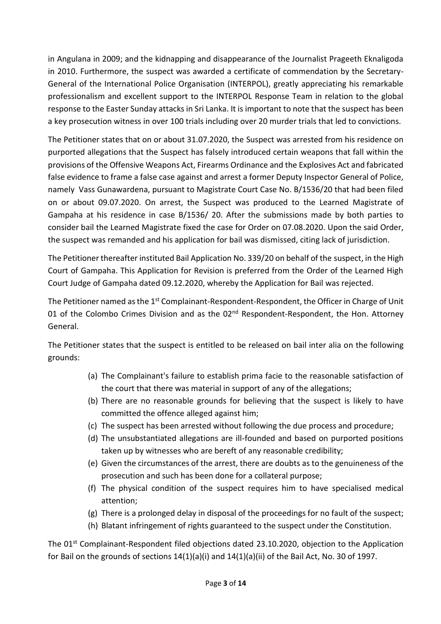in Angulana in 2009; and the kidnapping and disappearance of the Journalist Prageeth Eknaligoda in 2010. Furthermore, the suspect was awarded a certificate of commendation by the Secretary-General of the International Police Organisation (INTERPOL), greatly appreciating his remarkable professionalism and excellent support to the INTERPOL Response Team in relation to the global response to the Easter Sunday attacks in Sri Lanka. It is important to note that the suspect has been a key prosecution witness in over 100 trials including over 20 murder trials that led to convictions.

The Petitioner states that on or about 31.07.2020, the Suspect was arrested from his residence on purported allegations that the Suspect has falsely introduced certain weapons that fall within the provisions of the Offensive Weapons Act, Firearms Ordinance and the Explosives Act and fabricated false evidence to frame a false case against and arrest a former Deputy Inspector General of Police, namely Vass Gunawardena, pursuant to Magistrate Court Case No. B/1536/20 that had been filed on or about 09.07.2020. On arrest, the Suspect was produced to the Learned Magistrate of Gampaha at his residence in case B/1536/ 20. After the submissions made by both parties to consider bail the Learned Magistrate fixed the case for Order on 07.08.2020. Upon the said Order, the suspect was remanded and his application for bail was dismissed, citing lack of jurisdiction.

The Petitioner thereafter instituted Bail Application No. 339/20 on behalf of the suspect, in the High Court of Gampaha. This Application for Revision is preferred from the Order of the Learned High Court Judge of Gampaha dated 09.12.2020, whereby the Application for Bail was rejected.

The Petitioner named as the 1<sup>st</sup> Complainant-Respondent-Respondent, the Officer in Charge of Unit 01 of the Colombo Crimes Division and as the 02<sup>nd</sup> Respondent-Respondent, the Hon. Attorney General.

The Petitioner states that the suspect is entitled to be released on bail inter alia on the following grounds:

- (a) The Complainant's failure to establish prima facie to the reasonable satisfaction of the court that there was material in support of any of the allegations;
- (b) There are no reasonable grounds for believing that the suspect is likely to have committed the offence alleged against him;
- (c) The suspect has been arrested without following the due process and procedure;
- (d) The unsubstantiated allegations are ill-founded and based on purported positions taken up by witnesses who are bereft of any reasonable credibility;
- (e) Given the circumstances of the arrest, there are doubts as to the genuineness of the prosecution and such has been done for a collateral purpose;
- (f) The physical condition of the suspect requires him to have specialised medical attention;
- (g) There is a prolonged delay in disposal of the proceedings for no fault of the suspect;
- (h) Blatant infringement of rights guaranteed to the suspect under the Constitution.

The 01<sup>st</sup> Complainant-Respondent filed objections dated 23.10.2020, objection to the Application for Bail on the grounds of sections  $14(1)(a)(i)$  and  $14(1)(a)(ii)$  of the Bail Act, No. 30 of 1997.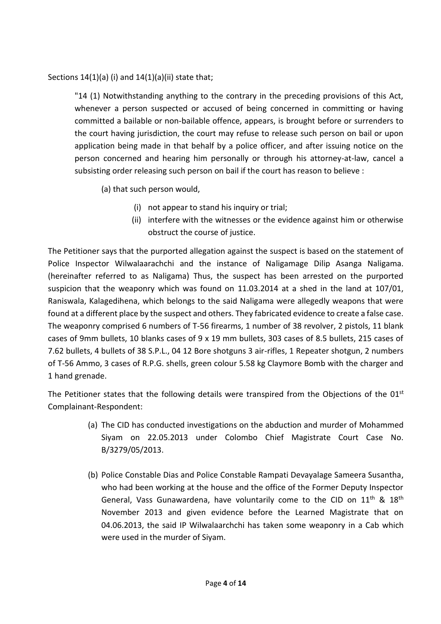# Sections  $14(1)(a)$  (i) and  $14(1)(a)(ii)$  state that;

"14 (1) Notwithstanding anything to the contrary in the preceding provisions of this Act, whenever a person suspected or accused of being concerned in committing or having committed a bailable or non-bailable offence, appears, is brought before or surrenders to the court having jurisdiction, the court may refuse to release such person on bail or upon application being made in that behalf by a police officer, and after issuing notice on the person concerned and hearing him personally or through his attorney-at-law, cancel a subsisting order releasing such person on bail if the court has reason to believe :

- (a) that such person would,
	- (i) not appear to stand his inquiry or trial;
	- (ii) interfere with the witnesses or the evidence against him or otherwise obstruct the course of justice.

The Petitioner says that the purported allegation against the suspect is based on the statement of Police Inspector Wilwalaarachchi and the instance of Naligamage Dilip Asanga Naligama. (hereinafter referred to as Naligama) Thus, the suspect has been arrested on the purported suspicion that the weaponry which was found on 11.03.2014 at a shed in the land at 107/01, Raniswala, Kalagedihena, which belongs to the said Naligama were allegedly weapons that were found at a different place by the suspect and others. They fabricated evidence to create a false case. The weaponry comprised 6 numbers of T-56 firearms, 1 number of 38 revolver, 2 pistols, 11 blank cases of 9mm bullets, 10 blanks cases of 9 x 19 mm bullets, 303 cases of 8.5 bullets, 215 cases of 7.62 bullets, 4 bullets of 38 S.P.L., 04 12 Bore shotguns 3 air-rifles, 1 Repeater shotgun, 2 numbers of T-56 Ammo, 3 cases of R.P.G. shells, green colour 5.58 kg Claymore Bomb with the charger and 1 hand grenade.

The Petitioner states that the following details were transpired from the Objections of the 01<sup>st</sup> Complainant-Respondent:

- (a) The CID has conducted investigations on the abduction and murder of Mohammed Siyam on 22.05.2013 under Colombo Chief Magistrate Court Case No. B/3279/05/2013.
- (b) Police Constable Dias and Police Constable Rampati Devayalage Sameera Susantha, who had been working at the house and the office of the Former Deputy Inspector General, Vass Gunawardena, have voluntarily come to the CID on 11<sup>th</sup> & 18<sup>th</sup> November 2013 and given evidence before the Learned Magistrate that on 04.06.2013, the said IP Wilwalaarchchi has taken some weaponry in a Cab which were used in the murder of Siyam.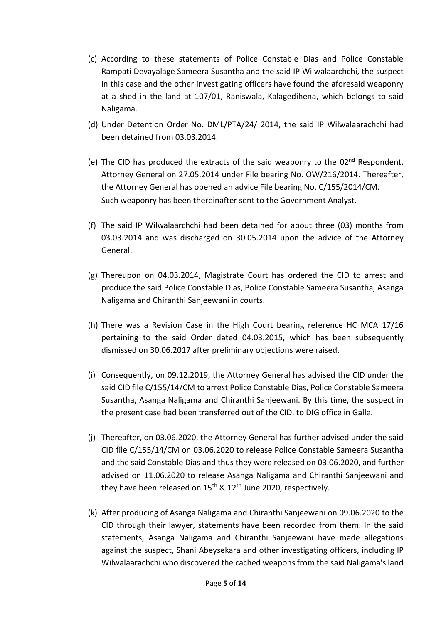- (c) According to these statements of Police Constable Dias and Police Constable Rampati Devayalage Sameera Susantha and the said IP Wilwalaarchchi, the suspect in this case and the other investigating officers have found the aforesaid weaponry at a shed in the land at 107/01, Raniswala, Kalagedihena, which belongs to said Naligama.
- (d) Under Detention Order No. DML/PTA/24/ 2014, the said IP Wilwalaarachchi had been detained from 03.03.2014.
- (e) The CID has produced the extracts of the said weaponry to the 02<sup>nd</sup> Respondent, Attorney General on 27.05.2014 under File bearing No. OW/216/2014. Thereafter, the Attorney General has opened an advice File bearing No. C/155/2014/CM. Such weaponry has been thereinafter sent to the Government Analyst.
- (f) The said IP Wilwalaarchchi had been detained for about three (03) months from 03.03.2014 and was discharged on 30.05.2014 upon the advice of the Attorney General.
- (g) Thereupon on 04.03.2014, Magistrate Court has ordered the CID to arrest and produce the said Police Constable Dias, Police Constable Sameera Susantha, Asanga Naligama and Chiranthi Sanjeewani in courts.
- (h) There was a Revision Case in the High Court bearing reference HC MCA 17/16 pertaining to the said Order dated 04.03.2015, which has been subsequently dismissed on 30.06.2017 after preliminary objections were raised.
- (i) Consequently, on 09.12.2019, the Attorney General has advised the CID under the said CID file C/155/14/CM to arrest Police Constable Dias, Police Constable Sameera Susantha, Asanga Naligama and Chiranthi Sanjeewani. By this time, the suspect in the present case had been transferred out of the CID, to DIG office in Galle.
- (j) Thereafter, on 03.06.2020, the Attorney General has further advised under the said CID file C/155/14/CM on 03.06.2020 to release Police Constable Sameera Susantha and the said Constable Dias and thus they were released on 03.06.2020, and further advised on 11.06.2020 to release Asanga Naligama and Chiranthi Sanjeewani and they have been released on  $15<sup>th</sup>$  &  $12<sup>th</sup>$  June 2020, respectively.
- (k) After producing of Asanga Naligama and Chiranthi Sanjeewani on 09.06.2020 to the CID through their lawyer, statements have been recorded from them. In the said statements, Asanga Naligama and Chiranthi Sanjeewani have made allegations against the suspect, Shani Abeysekara and other investigating officers, including IP Wilwalaarachchi who discovered the cached weapons from the said Naligama's land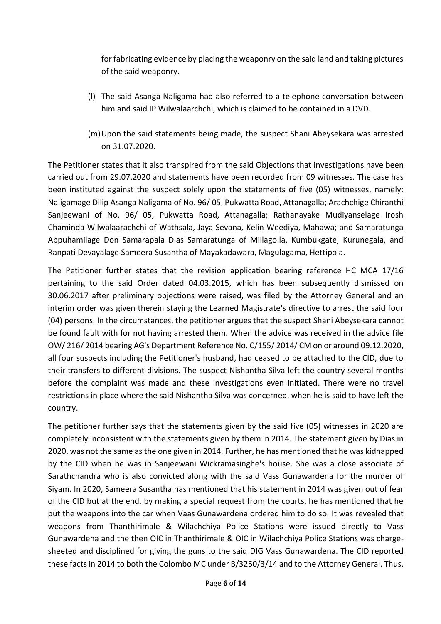for fabricating evidence by placing the weaponry on the said land and taking pictures of the said weaponry.

- (l) The said Asanga Naligama had also referred to a telephone conversation between him and said IP Wilwalaarchchi, which is claimed to be contained in a DVD.
- (m)Upon the said statements being made, the suspect Shani Abeysekara was arrested on 31.07.2020.

The Petitioner states that it also transpired from the said Objections that investigations have been carried out from 29.07.2020 and statements have been recorded from 09 witnesses. The case has been instituted against the suspect solely upon the statements of five (05) witnesses, namely: Naligamage Dilip Asanga Naligama of No. 96/ 05, Pukwatta Road, Attanagalla; Arachchige Chiranthi Sanjeewani of No. 96/ 05, Pukwatta Road, Attanagalla; Rathanayake Mudiyanselage Irosh Chaminda Wilwalaarachchi of Wathsala, Jaya Sevana, Kelin Weediya, Mahawa; and Samaratunga Appuhamilage Don Samarapala Dias Samaratunga of Millagolla, Kumbukgate, Kurunegala, and Ranpati Devayalage Sameera Susantha of Mayakadawara, Magulagama, Hettipola.

The Petitioner further states that the revision application bearing reference HC MCA 17/16 pertaining to the said Order dated 04.03.2015, which has been subsequently dismissed on 30.06.2017 after preliminary objections were raised, was filed by the Attorney General and an interim order was given therein staying the Learned Magistrate's directive to arrest the said four (04) persons. In the circumstances, the petitioner argues that the suspect Shani Abeysekara cannot be found fault with for not having arrested them. When the advice was received in the advice file OW/ 216/ 2014 bearing AG's Department Reference No. C/155/ 2014/ CM on or around 09.12.2020, all four suspects including the Petitioner's husband, had ceased to be attached to the CID, due to their transfers to different divisions. The suspect Nishantha Silva left the country several months before the complaint was made and these investigations even initiated. There were no travel restrictions in place where the said Nishantha Silva was concerned, when he is said to have left the country.

The petitioner further says that the statements given by the said five (05) witnesses in 2020 are completely inconsistent with the statements given by them in 2014. The statement given by Dias in 2020, was not the same as the one given in 2014. Further, he has mentioned that he was kidnapped by the CID when he was in Sanjeewani Wickramasinghe's house. She was a close associate of Sarathchandra who is also convicted along with the said Vass Gunawardena for the murder of Siyam. In 2020, Sameera Susantha has mentioned that his statement in 2014 was given out of fear of the CID but at the end, by making a special request from the courts, he has mentioned that he put the weapons into the car when Vaas Gunawardena ordered him to do so. It was revealed that weapons from Thanthirimale & Wilachchiya Police Stations were issued directly to Vass Gunawardena and the then OIC in Thanthirimale & OIC in Wilachchiya Police Stations was chargesheeted and disciplined for giving the guns to the said DIG Vass Gunawardena. The CID reported these facts in 2014 to both the Colombo MC under B/3250/3/14 and to the Attorney General. Thus,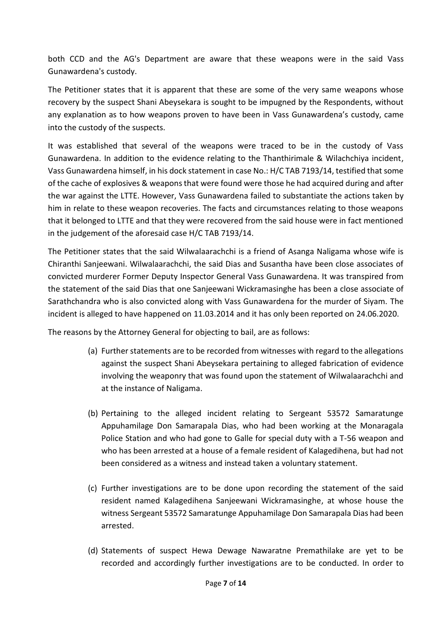both CCD and the AG's Department are aware that these weapons were in the said Vass Gunawardena's custody.

The Petitioner states that it is apparent that these are some of the very same weapons whose recovery by the suspect Shani Abeysekara is sought to be impugned by the Respondents, without any explanation as to how weapons proven to have been in Vass Gunawardena's custody, came into the custody of the suspects.

It was established that several of the weapons were traced to be in the custody of Vass Gunawardena. In addition to the evidence relating to the Thanthirimale & Wilachchiya incident, Vass Gunawardena himself, in his dock statement in case No.: H/C TAB 7193/14, testified that some of the cache of explosives & weapons that were found were those he had acquired during and after the war against the LTTE. However, Vass Gunawardena failed to substantiate the actions taken by him in relate to these weapon recoveries. The facts and circumstances relating to those weapons that it belonged to LTTE and that they were recovered from the said house were in fact mentioned in the judgement of the aforesaid case H/C TAB 7193/14.

The Petitioner states that the said Wilwalaarachchi is a friend of Asanga Naligama whose wife is Chiranthi Sanjeewani. Wilwalaarachchi, the said Dias and Susantha have been close associates of convicted murderer Former Deputy Inspector General Vass Gunawardena. It was transpired from the statement of the said Dias that one Sanjeewani Wickramasinghe has been a close associate of Sarathchandra who is also convicted along with Vass Gunawardena for the murder of Siyam. The incident is alleged to have happened on 11.03.2014 and it has only been reported on 24.06.2020.

The reasons by the Attorney General for objecting to bail, are as follows:

- (a) Further statements are to be recorded from witnesses with regard to the allegations against the suspect Shani Abeysekara pertaining to alleged fabrication of evidence involving the weaponry that was found upon the statement of Wilwalaarachchi and at the instance of Naligama.
- (b) Pertaining to the alleged incident relating to Sergeant 53572 Samaratunge Appuhamilage Don Samarapala Dias, who had been working at the Monaragala Police Station and who had gone to Galle for special duty with a T-56 weapon and who has been arrested at a house of a female resident of Kalagedihena, but had not been considered as a witness and instead taken a voluntary statement.
- (c) Further investigations are to be done upon recording the statement of the said resident named Kalagedihena Sanjeewani Wickramasinghe, at whose house the witness Sergeant 53572 Samaratunge Appuhamilage Don Samarapala Dias had been arrested.
- (d) Statements of suspect Hewa Dewage Nawaratne Premathilake are yet to be recorded and accordingly further investigations are to be conducted. In order to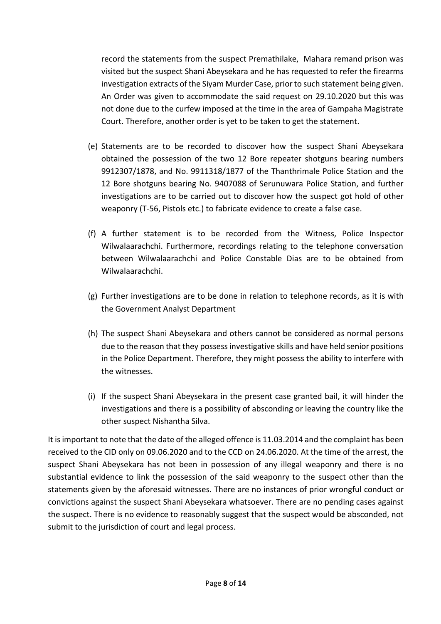record the statements from the suspect Premathilake, Mahara remand prison was visited but the suspect Shani Abeysekara and he has requested to refer the firearms investigation extracts of the Siyam Murder Case, prior to such statement being given. An Order was given to accommodate the said request on 29.10.2020 but this was not done due to the curfew imposed at the time in the area of Gampaha Magistrate Court. Therefore, another order is yet to be taken to get the statement.

- (e) Statements are to be recorded to discover how the suspect Shani Abeysekara obtained the possession of the two 12 Bore repeater shotguns bearing numbers 9912307/1878, and No. 9911318/1877 of the Thanthrimale Police Station and the 12 Bore shotguns bearing No. 9407088 of Serunuwara Police Station, and further investigations are to be carried out to discover how the suspect got hold of other weaponry (T-56, Pistols etc.) to fabricate evidence to create a false case.
- (f) A further statement is to be recorded from the Witness, Police Inspector Wilwalaarachchi. Furthermore, recordings relating to the telephone conversation between Wilwalaarachchi and Police Constable Dias are to be obtained from Wilwalaarachchi.
- (g) Further investigations are to be done in relation to telephone records, as it is with the Government Analyst Department
- (h) The suspect Shani Abeysekara and others cannot be considered as normal persons due to the reason that they possess investigative skills and have held senior positions in the Police Department. Therefore, they might possess the ability to interfere with the witnesses.
- (i) If the suspect Shani Abeysekara in the present case granted bail, it will hinder the investigations and there is a possibility of absconding or leaving the country like the other suspect Nishantha Silva.

It is important to note that the date of the alleged offence is 11.03.2014 and the complaint has been received to the CID only on 09.06.2020 and to the CCD on 24.06.2020. At the time of the arrest, the suspect Shani Abeysekara has not been in possession of any illegal weaponry and there is no substantial evidence to link the possession of the said weaponry to the suspect other than the statements given by the aforesaid witnesses. There are no instances of prior wrongful conduct or convictions against the suspect Shani Abeysekara whatsoever. There are no pending cases against the suspect. There is no evidence to reasonably suggest that the suspect would be absconded, not submit to the jurisdiction of court and legal process.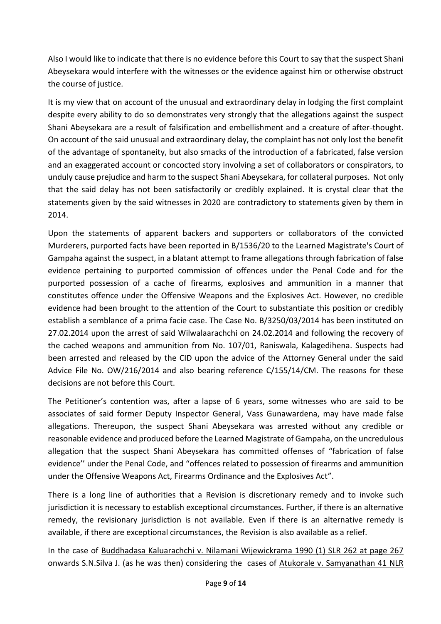Also I would like to indicate that there is no evidence before this Court to say that the suspect Shani Abeysekara would interfere with the witnesses or the evidence against him or otherwise obstruct the course of justice.

It is my view that on account of the unusual and extraordinary delay in lodging the first complaint despite every ability to do so demonstrates very strongly that the allegations against the suspect Shani Abeysekara are a result of falsification and embellishment and a creature of after-thought. On account of the said unusual and extraordinary delay, the complaint has not only lost the benefit of the advantage of spontaneity, but also smacks of the introduction of a fabricated, false version and an exaggerated account or concocted story involving a set of collaborators or conspirators, to unduly cause prejudice and harm to the suspect Shani Abeysekara, for collateral purposes. Not only that the said delay has not been satisfactorily or credibly explained. It is crystal clear that the statements given by the said witnesses in 2020 are contradictory to statements given by them in 2014.

Upon the statements of apparent backers and supporters or collaborators of the convicted Murderers, purported facts have been reported in B/1536/20 to the Learned Magistrate's Court of Gampaha against the suspect, in a blatant attempt to frame allegations through fabrication of false evidence pertaining to purported commission of offences under the Penal Code and for the purported possession of a cache of firearms, explosives and ammunition in a manner that constitutes offence under the Offensive Weapons and the Explosives Act. However, no credible evidence had been brought to the attention of the Court to substantiate this position or credibly establish a semblance of a prima facie case. The Case No. B/3250/03/2014 has been instituted on 27.02.2014 upon the arrest of said Wilwalaarachchi on 24.02.2014 and following the recovery of the cached weapons and ammunition from No. 107/01, Raniswala, Kalagedihena. Suspects had been arrested and released by the CID upon the advice of the Attorney General under the said Advice File No. OW/216/2014 and also bearing reference C/155/14/CM. The reasons for these decisions are not before this Court.

The Petitioner's contention was, after a lapse of 6 years, some witnesses who are said to be associates of said former Deputy Inspector General, Vass Gunawardena, may have made false allegations. Thereupon, the suspect Shani Abeysekara was arrested without any credible or reasonable evidence and produced before the Learned Magistrate of Gampaha, on the uncredulous allegation that the suspect Shani Abeysekara has committed offenses of "fabrication of false evidence'' under the Penal Code, and "offences related to possession of firearms and ammunition under the Offensive Weapons Act, Firearms Ordinance and the Explosives Act".

There is a long line of authorities that a Revision is discretionary remedy and to invoke such jurisdiction it is necessary to establish exceptional circumstances. Further, if there is an alternative remedy, the revisionary jurisdiction is not available. Even if there is an alternative remedy is available, if there are exceptional circumstances, the Revision is also available as a relief.

In the case of Buddhadasa Kaluarachchi v. Nilamani Wijewickrama 1990 (1) SLR 262 at page 267 onwards S.N.Silva J. (as he was then) considering the cases of Atukorale v. Samyanathan 41 NLR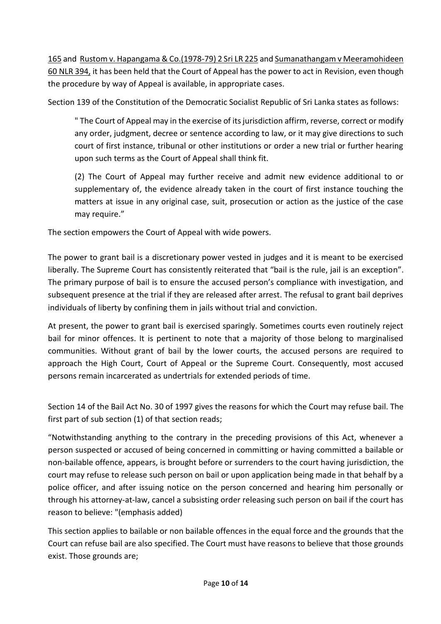165 and Rustom v. Hapangama & Co.(1978-79) 2 Sri LR 225 and Sumanathangam v Meeramohideen 60 NLR 394, it has been held that the Court of Appeal has the power to act in Revision, even though the procedure by way of Appeal is available, in appropriate cases.

Section 139 of the Constitution of the Democratic Socialist Republic of Sri Lanka states as follows:

" The Court of Appeal may in the exercise of its jurisdiction affirm, reverse, correct or modify any order, judgment, decree or sentence according to law, or it may give directions to such court of first instance, tribunal or other institutions or order a new trial or further hearing upon such terms as the Court of Appeal shall think fit.

(2) The Court of Appeal may further receive and admit new evidence additional to or supplementary of, the evidence already taken in the court of first instance touching the matters at issue in any original case, suit, prosecution or action as the justice of the case may require."

The section empowers the Court of Appeal with wide powers.

The power to grant bail is a discretionary power vested in judges and it is meant to be exercised liberally. The Supreme Court has consistently reiterated that "bail is the rule, jail is an exception". The primary purpose of bail is to ensure the accused person's compliance with investigation, and subsequent presence at the trial if they are released after arrest. The refusal to grant bail deprives individuals of liberty by confining them in jails without trial and conviction.

At present, the power to grant bail is exercised sparingly. Sometimes courts even routinely reject bail for minor offences. It is pertinent to note that a majority of those belong to marginalised communities. Without grant of bail by the lower courts, the accused persons are required to approach the High Court, Court of Appeal or the Supreme Court. Consequently, most accused persons remain incarcerated as undertrials for extended periods of time.

Section 14 of the Bail Act No. 30 of 1997 gives the reasons for which the Court may refuse bail. The first part of sub section (1) of that section reads;

"Notwithstanding anything to the contrary in the preceding provisions of this Act, whenever a person suspected or accused of being concerned in committing or having committed a bailable or non-bailable offence, appears, is brought before or surrenders to the court having jurisdiction, the court may refuse to release such person on bail or upon application being made in that behalf by a police officer, and after issuing notice on the person concerned and hearing him personally or through his attorney-at-law, cancel a subsisting order releasing such person on bail if the court has reason to believe: "(emphasis added)

This section applies to bailable or non bailable offences in the equal force and the grounds that the Court can refuse bail are also specified. The Court must have reasons to believe that those grounds exist. Those grounds are;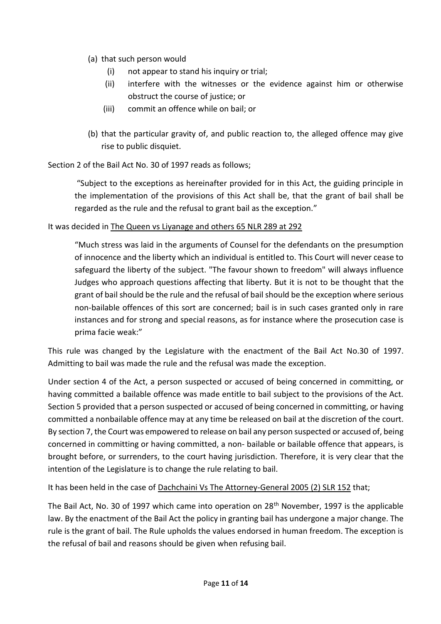- (a) that such person would
	- (i) not appear to stand his inquiry or trial;
	- (ii) interfere with the witnesses or the evidence against him or otherwise obstruct the course of justice; or
	- (iii) commit an offence while on bail; or
- (b) that the particular gravity of, and public reaction to, the alleged offence may give rise to public disquiet.

Section 2 of the Bail Act No. 30 of 1997 reads as follows;

"Subject to the exceptions as hereinafter provided for in this Act, the guiding principle in the implementation of the provisions of this Act shall be, that the grant of bail shall be regarded as the rule and the refusal to grant bail as the exception."

# It was decided in The Queen vs Liyanage and others 65 NLR 289 at 292

"Much stress was laid in the arguments of Counsel for the defendants on the presumption of innocence and the liberty which an individual is entitled to. This Court will never cease to safeguard the liberty of the subject. "The favour shown to freedom" will always influence Judges who approach questions affecting that liberty. But it is not to be thought that the grant of bail should be the rule and the refusal of bail should be the exception where serious non-bailable offences of this sort are concerned; bail is in such cases granted only in rare instances and for strong and special reasons, as for instance where the prosecution case is prima facie weak:"

This rule was changed by the Legislature with the enactment of the Bail Act No.30 of 1997. Admitting to bail was made the rule and the refusal was made the exception.

Under section 4 of the Act, a person suspected or accused of being concerned in committing, or having committed a bailable offence was made entitle to bail subject to the provisions of the Act. Section 5 provided that a person suspected or accused of being concerned in committing, or having committed a nonbailable offence may at any time be released on bail at the discretion of the court. By section 7, the Court was empowered to release on bail any person suspected or accused of, being concerned in committing or having committed, a non- bailable or bailable offence that appears, is brought before, or surrenders, to the court having jurisdiction. Therefore, it is very clear that the intention of the Legislature is to change the rule relating to bail.

It has been held in the case of Dachchaini Vs The Attorney-General 2005 (2) SLR 152 that;

The Bail Act, No. 30 of 1997 which came into operation on 28<sup>th</sup> November, 1997 is the applicable law. By the enactment of the Bail Act the policy in granting bail has undergone a major change. The rule is the grant of bail. The Rule upholds the values endorsed in human freedom. The exception is the refusal of bail and reasons should be given when refusing bail.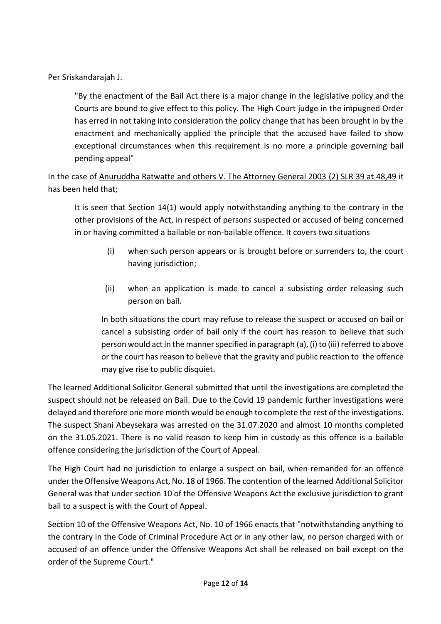Per Sriskandarajah J.

"By the enactment of the Bail Act there is a major change in the legislative policy and the Courts are bound to give effect to this policy. The High Court judge in the impugned Order has erred in not taking into consideration the policy change that has been brought in by the enactment and mechanically applied the principle that the accused have failed to show exceptional circumstances when this requirement is no more a principle governing bail pending appeal"

In the case of Anuruddha Ratwatte and others V. The Attorney General 2003 (2) SLR 39 at 48,49 it has been held that;

It is seen that Section 14(1) would apply notwithstanding anything to the contrary in the other provisions of the Act, in respect of persons suspected or accused of being concerned in or having committed a bailable or non-bailable offence. It covers two situations

- (i) when such person appears or is brought before or surrenders to, the court having jurisdiction;
- (ii) when an application is made to cancel a subsisting order releasing such person on bail.

In both situations the court may refuse to release the suspect or accused on bail or cancel a subsisting order of bail only if the court has reason to believe that such person would act in the manner specified in paragraph (a), (i) to (iii) referred to above or the court has reason to believe that the gravity and public reaction to the offence may give rise to public disquiet.

The learned Additional Solicitor General submitted that until the investigations are completed the suspect should not be released on Bail. Due to the Covid 19 pandemic further investigations were delayed and therefore one more month would be enough to complete the rest of the investigations. The suspect Shani Abeysekara was arrested on the 31.07.2020 and almost 10 months completed on the 31.05.2021. There is no valid reason to keep him in custody as this offence is a bailable offence considering the jurisdiction of the Court of Appeal.

The High Court had no jurisdiction to enlarge a suspect on bail, when remanded for an offence under the Offensive Weapons Act, No. 18 of 1966. The contention of the learned Additional Solicitor General was that under section 10 of the Offensive Weapons Act the exclusive jurisdiction to grant bail to a suspect is with the Court of Appeal.

Section 10 of the Offensive Weapons Act, No. 10 of 1966 enacts that "notwithstanding anything to the contrary in the Code of Criminal Procedure Act or in any other law, no person charged with or accused of an offence under the Offensive Weapons Act shall be released on bail except on the order of the Supreme Court."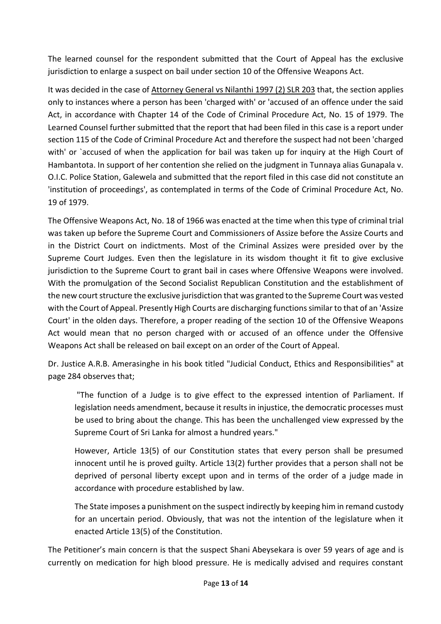The learned counsel for the respondent submitted that the Court of Appeal has the exclusive jurisdiction to enlarge a suspect on bail under section 10 of the Offensive Weapons Act.

It was decided in the case of Attorney General vs Nilanthi 1997 (2) SLR 203 that, the section applies only to instances where a person has been 'charged with' or 'accused of an offence under the said Act, in accordance with Chapter 14 of the Code of Criminal Procedure Act, No. 15 of 1979. The Learned Counsel further submitted that the report that had been filed in this case is a report under section 115 of the Code of Criminal Procedure Act and therefore the suspect had not been 'charged with' or `accused of when the application for bail was taken up for inquiry at the High Court of Hambantota. In support of her contention she relied on the judgment in Tunnaya alias Gunapala v. O.I.C. Police Station, Galewela and submitted that the report filed in this case did not constitute an 'institution of proceedings', as contemplated in terms of the Code of Criminal Procedure Act, No. 19 of 1979.

The Offensive Weapons Act, No. 18 of 1966 was enacted at the time when this type of criminal trial was taken up before the Supreme Court and Commissioners of Assize before the Assize Courts and in the District Court on indictments. Most of the Criminal Assizes were presided over by the Supreme Court Judges. Even then the legislature in its wisdom thought it fit to give exclusive jurisdiction to the Supreme Court to grant bail in cases where Offensive Weapons were involved. With the promulgation of the Second Socialist Republican Constitution and the establishment of the new court structure the exclusive jurisdiction that was granted to the Supreme Court was vested with the Court of Appeal. Presently High Courts are discharging functions similar to that of an 'Assize Court' in the olden days. Therefore, a proper reading of the section 10 of the Offensive Weapons Act would mean that no person charged with or accused of an offence under the Offensive Weapons Act shall be released on bail except on an order of the Court of Appeal.

Dr. Justice A.R.B. Amerasinghe in his book titled "Judicial Conduct, Ethics and Responsibilities" at page 284 observes that;

"The function of a Judge is to give effect to the expressed intention of Parliament. If legislation needs amendment, because it results in injustice, the democratic processes must be used to bring about the change. This has been the unchallenged view expressed by the Supreme Court of Sri Lanka for almost a hundred years."

However, Article 13(5) of our Constitution states that every person shall be presumed innocent until he is proved guilty. Article 13(2) further provides that a person shall not be deprived of personal liberty except upon and in terms of the order of a judge made in accordance with procedure established by law.

The State imposes a punishment on the suspect indirectly by keeping him in remand custody for an uncertain period. Obviously, that was not the intention of the legislature when it enacted Article 13(5) of the Constitution.

The Petitioner's main concern is that the suspect Shani Abeysekara is over 59 years of age and is currently on medication for high blood pressure. He is medically advised and requires constant